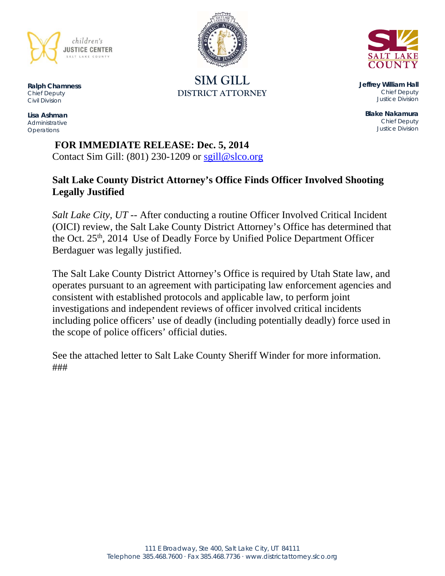

**SIM GILL DISTRICT ATTORNEY** 



**Jeffrey William Hall**  *Chief Deputy Justice Division* 

**Blake Nakamura**  *Chief Deputy Justice Division* 

**Ralph Chamness**  *Chief Deputy Civil Division* 

**Lisa Ashman**  *Administrative Operations* 

> **FOR IMMEDIATE RELEASE: Dec. 5, 2014** Contact Sim Gill:  $(801)$  230-1209 or sgill@slco.org

# **Salt Lake County District Attorney's Office Finds Officer Involved Shooting Legally Justified**

*Salt Lake City, UT* -- After conducting a routine Officer Involved Critical Incident (OICI) review, the Salt Lake County District Attorney's Office has determined that the Oct. 25<sup>th</sup>, 2014 Use of Deadly Force by Unified Police Department Officer Berdaguer was legally justified.

The Salt Lake County District Attorney's Office is required by Utah State law, and operates pursuant to an agreement with participating law enforcement agencies and consistent with established protocols and applicable law, to perform joint investigations and independent reviews of officer involved critical incidents including police officers' use of deadly (including potentially deadly) force used in the scope of police officers' official duties.

See the attached letter to Salt Lake County Sheriff Winder for more information. ###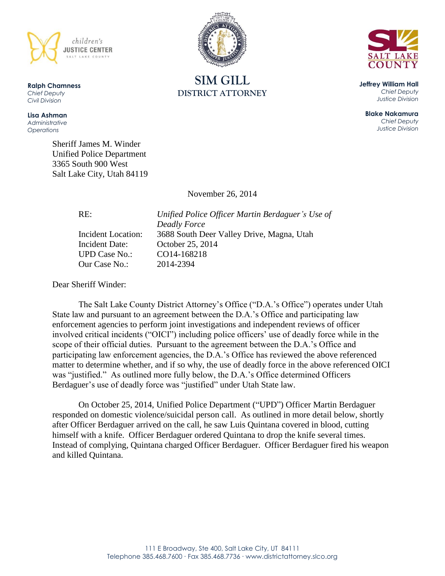

**Ralph Chamness**  *Chief Deputy Civil Division*

**Lisa Ashman** *Administrative Operations*

> Sheriff James M. Winder Unified Police Department 3365 South 900 West Salt Lake City, Utah 84119

> > November 26, 2014

Incident Date: October 25, 2014 UPD Case No.: CO14-168218 Our Case No.: 2014-2394

RE: *Unified Police Officer Martin Berdaguer's Use of Deadly Force* Incident Location: 3688 South Deer Valley Drive, Magna, Utah

Dear Sheriff Winder:

The Salt Lake County District Attorney's Office ("D.A.'s Office") operates under Utah State law and pursuant to an agreement between the D.A.'s Office and participating law enforcement agencies to perform joint investigations and independent reviews of officer involved critical incidents ("OICI") including police officers' use of deadly force while in the scope of their official duties. Pursuant to the agreement between the D.A.'s Office and participating law enforcement agencies, the D.A.'s Office has reviewed the above referenced matter to determine whether, and if so why, the use of deadly force in the above referenced OICI was "justified." As outlined more fully below, the D.A.'s Office determined Officers Berdaguer's use of deadly force was "justified" under Utah State law.

On October 25, 2014, Unified Police Department ("UPD") Officer Martin Berdaguer responded on domestic violence/suicidal person call. As outlined in more detail below, shortly after Officer Berdaguer arrived on the call, he saw Luis Quintana covered in blood, cutting himself with a knife. Officer Berdaguer ordered Quintana to drop the knife several times. Instead of complying, Quintana charged Officer Berdaguer. Officer Berdaguer fired his weapon and killed Quintana.



**SIM GILL DISTRICT ATTORNEY**



**Jeffrey William Hall** *Chief Deputy Justice Division*

**Blake Nakamura** *Chief Deputy Justice Division*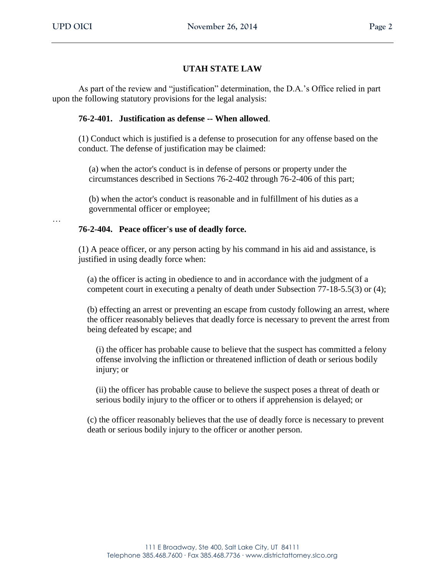## **UTAH STATE LAW**

As part of the review and "justification" determination, the D.A.'s Office relied in part upon the following statutory provisions for the legal analysis:

## **76-2-401. Justification as defense -- When allowed**.

(1) Conduct which is justified is a defense to prosecution for any offense based on the conduct. The defense of justification may be claimed:

(a) when the actor's conduct is in defense of persons or property under the circumstances described in Sections 76-2-402 through 76-2-406 of this part;

(b) when the actor's conduct is reasonable and in fulfillment of his duties as a governmental officer or employee;

…

### **76-2-404. Peace officer's use of deadly force.**

(1) A peace officer, or any person acting by his command in his aid and assistance, is justified in using deadly force when:

(a) the officer is acting in obedience to and in accordance with the judgment of a competent court in executing a penalty of death under Subsection 77-18-5.5(3) or (4);

(b) effecting an arrest or preventing an escape from custody following an arrest, where the officer reasonably believes that deadly force is necessary to prevent the arrest from being defeated by escape; and

(i) the officer has probable cause to believe that the suspect has committed a felony offense involving the infliction or threatened infliction of death or serious bodily injury; or

(ii) the officer has probable cause to believe the suspect poses a threat of death or serious bodily injury to the officer or to others if apprehension is delayed; or

(c) the officer reasonably believes that the use of deadly force is necessary to prevent death or serious bodily injury to the officer or another person.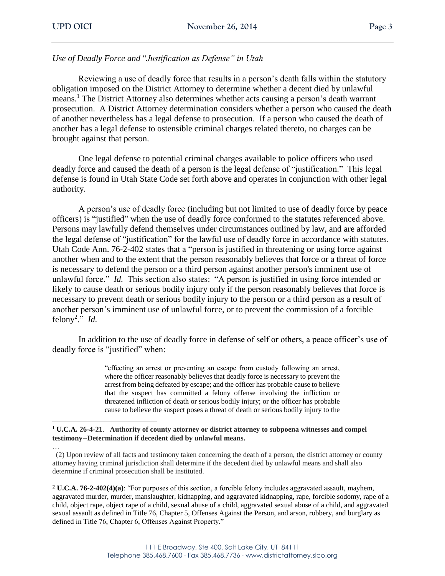*Use of Deadly Force and* "*Justification as Defense" in Utah*

Reviewing a use of deadly force that results in a person's death falls within the statutory obligation imposed on the District Attorney to determine whether a decent died by unlawful means.<sup>1</sup> The District Attorney also determines whether acts causing a person's death warrant prosecution. A District Attorney determination considers whether a person who caused the death of another nevertheless has a legal defense to prosecution. If a person who caused the death of another has a legal defense to ostensible criminal charges related thereto, no charges can be brought against that person.

One legal defense to potential criminal charges available to police officers who used deadly force and caused the death of a person is the legal defense of "justification." This legal defense is found in Utah State Code set forth above and operates in conjunction with other legal authority.

A person's use of deadly force (including but not limited to use of deadly force by peace officers) is "justified" when the use of deadly force conformed to the statutes referenced above. Persons may lawfully defend themselves under circumstances outlined by law, and are afforded the legal defense of "justification" for the lawful use of deadly force in accordance with statutes. Utah Code Ann. 76-2-402 states that a "person is justified in threatening or using force against another when and to the extent that the person reasonably believes that force or a threat of force is necessary to defend the person or a third person against another person's imminent use of unlawful force." *Id.* This section also states: "A person is justified in using force intended or likely to cause death or serious bodily injury only if the person reasonably believes that force is necessary to prevent death or serious bodily injury to the person or a third person as a result of another person's imminent use of unlawful force, or to prevent the commission of a forcible felony<sup>2</sup>." *Id.* 

In addition to the use of deadly force in defense of self or others, a peace officer's use of deadly force is "justified" when:

> "effecting an arrest or preventing an escape from custody following an arrest, where the officer reasonably believes that deadly force is necessary to prevent the arrest from being defeated by escape; and the officer has probable cause to believe that the suspect has committed a felony offense involving the infliction or threatened infliction of death or serious bodily injury; or the officer has probable cause to believe the suspect poses a threat of death or serious bodily injury to the

 <sup>1</sup> **U.C.A. 26-4-21**. **Authority of county attorney or district attorney to subpoena witnesses and compel testimony--Determination if decedent died by unlawful means.**

… (2) Upon review of all facts and testimony taken concerning the death of a person, the district attorney or county attorney having criminal jurisdiction shall determine if the decedent died by unlawful means and shall also determine if criminal prosecution shall be instituted.

<sup>2</sup> **U.C.A. 76-2-402(4)(a)**: "For purposes of this section, a forcible felony includes aggravated assault, mayhem, aggravated murder, murder, manslaughter, kidnapping, and aggravated kidnapping, rape, forcible sodomy, rape of a child, object rape, object rape of a child, sexual abuse of a child, aggravated sexual abuse of a child, and aggravated sexual assault as defined in Title 76, Chapter 5, Offenses Against the Person, and arson, robbery, and burglary as defined in Title 76, Chapter 6, Offenses Against Property."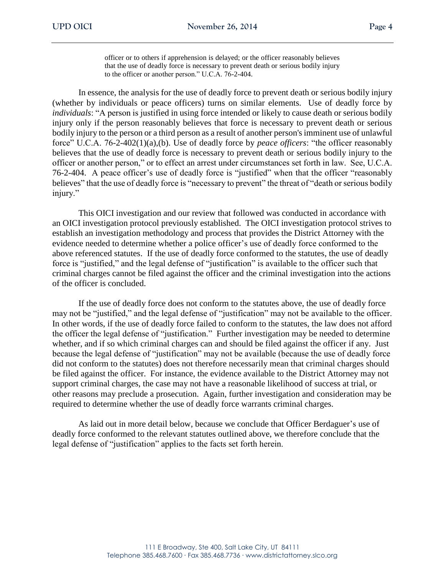officer or to others if apprehension is delayed; or the officer reasonably believes that the use of deadly force is necessary to prevent death or serious bodily injury to the officer or another person." U.C.A. 76-2-404.

In essence, the analysis for the use of deadly force to prevent death or serious bodily injury (whether by individuals or peace officers) turns on similar elements. Use of deadly force by *individuals*: "A person is justified in using force intended or likely to cause death or serious bodily injury only if the person reasonably believes that force is necessary to prevent death or serious bodily injury to the person or a third person as a result of another person's imminent use of unlawful force" U.C.A. 76-2-402(1)(a),(b). Use of deadly force by *peace officers*: "the officer reasonably believes that the use of deadly force is necessary to prevent death or serious bodily injury to the officer or another person," or to effect an arrest under circumstances set forth in law. See, U.C.A. 76-2-404. A peace officer's use of deadly force is "justified" when that the officer "reasonably believes" that the use of deadly force is "necessary to prevent" the threat of "death or serious bodily injury."

This OICI investigation and our review that followed was conducted in accordance with an OICI investigation protocol previously established. The OICI investigation protocol strives to establish an investigation methodology and process that provides the District Attorney with the evidence needed to determine whether a police officer's use of deadly force conformed to the above referenced statutes. If the use of deadly force conformed to the statutes, the use of deadly force is "justified," and the legal defense of "justification" is available to the officer such that criminal charges cannot be filed against the officer and the criminal investigation into the actions of the officer is concluded.

If the use of deadly force does not conform to the statutes above, the use of deadly force may not be "justified," and the legal defense of "justification" may not be available to the officer. In other words, if the use of deadly force failed to conform to the statutes, the law does not afford the officer the legal defense of "justification." Further investigation may be needed to determine whether, and if so which criminal charges can and should be filed against the officer if any. Just because the legal defense of "justification" may not be available (because the use of deadly force did not conform to the statutes) does not therefore necessarily mean that criminal charges should be filed against the officer. For instance, the evidence available to the District Attorney may not support criminal charges, the case may not have a reasonable likelihood of success at trial, or other reasons may preclude a prosecution. Again, further investigation and consideration may be required to determine whether the use of deadly force warrants criminal charges.

As laid out in more detail below, because we conclude that Officer Berdaguer's use of deadly force conformed to the relevant statutes outlined above, we therefore conclude that the legal defense of "justification" applies to the facts set forth herein.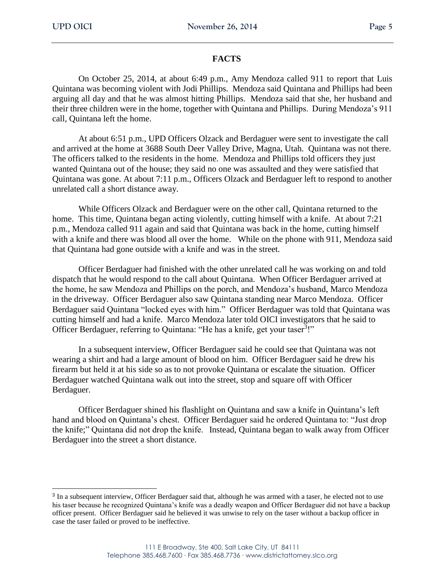$\overline{a}$ 

## **FACTS**

On October 25, 2014, at about 6:49 p.m., Amy Mendoza called 911 to report that Luis Quintana was becoming violent with Jodi Phillips. Mendoza said Quintana and Phillips had been arguing all day and that he was almost hitting Phillips. Mendoza said that she, her husband and their three children were in the home, together with Quintana and Phillips. During Mendoza's 911 call, Quintana left the home.

At about 6:51 p.m., UPD Officers Olzack and Berdaguer were sent to investigate the call and arrived at the home at 3688 South Deer Valley Drive, Magna, Utah. Quintana was not there. The officers talked to the residents in the home. Mendoza and Phillips told officers they just wanted Quintana out of the house; they said no one was assaulted and they were satisfied that Quintana was gone. At about 7:11 p.m., Officers Olzack and Berdaguer left to respond to another unrelated call a short distance away.

While Officers Olzack and Berdaguer were on the other call, Quintana returned to the home. This time, Quintana began acting violently, cutting himself with a knife. At about 7:21 p.m., Mendoza called 911 again and said that Quintana was back in the home, cutting himself with a knife and there was blood all over the home. While on the phone with 911, Mendoza said that Quintana had gone outside with a knife and was in the street.

Officer Berdaguer had finished with the other unrelated call he was working on and told dispatch that he would respond to the call about Quintana. When Officer Berdaguer arrived at the home, he saw Mendoza and Phillips on the porch, and Mendoza's husband, Marco Mendoza in the driveway. Officer Berdaguer also saw Quintana standing near Marco Mendoza. Officer Berdaguer said Quintana "locked eyes with him." Officer Berdaguer was told that Quintana was cutting himself and had a knife. Marco Mendoza later told OICI investigators that he said to Officer Berdaguer, referring to Quintana: "He has a knife, get your taser<sup>3</sup>!"

In a subsequent interview, Officer Berdaguer said he could see that Quintana was not wearing a shirt and had a large amount of blood on him. Officer Berdaguer said he drew his firearm but held it at his side so as to not provoke Quintana or escalate the situation. Officer Berdaguer watched Quintana walk out into the street, stop and square off with Officer Berdaguer.

Officer Berdaguer shined his flashlight on Quintana and saw a knife in Quintana's left hand and blood on Quintana's chest. Officer Berdaguer said he ordered Quintana to: "Just drop the knife;" Quintana did not drop the knife. Instead, Quintana began to walk away from Officer Berdaguer into the street a short distance.

<sup>&</sup>lt;sup>3</sup> In a subsequent interview, Officer Berdaguer said that, although he was armed with a taser, he elected not to use his taser because he recognized Quintana's knife was a deadly weapon and Officer Berdaguer did not have a backup officer present. Officer Berdaguer said he believed it was unwise to rely on the taser without a backup officer in case the taser failed or proved to be ineffective.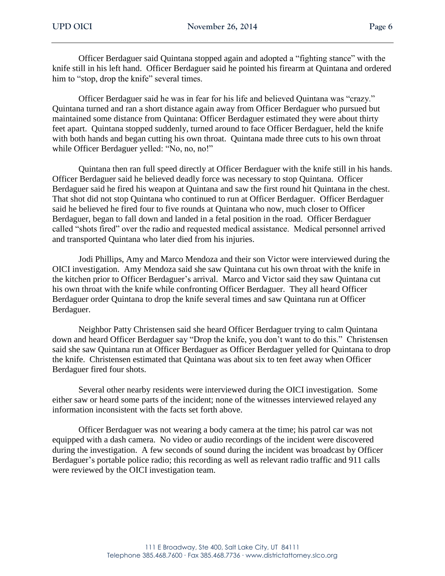Officer Berdaguer said Quintana stopped again and adopted a "fighting stance" with the knife still in his left hand. Officer Berdaguer said he pointed his firearm at Quintana and ordered him to "stop, drop the knife" several times.

Officer Berdaguer said he was in fear for his life and believed Quintana was "crazy." Quintana turned and ran a short distance again away from Officer Berdaguer who pursued but maintained some distance from Quintana: Officer Berdaguer estimated they were about thirty feet apart. Quintana stopped suddenly, turned around to face Officer Berdaguer, held the knife with both hands and began cutting his own throat. Quintana made three cuts to his own throat while Officer Berdaguer yelled: "No, no, no!"

Quintana then ran full speed directly at Officer Berdaguer with the knife still in his hands. Officer Berdaguer said he believed deadly force was necessary to stop Quintana. Officer Berdaguer said he fired his weapon at Quintana and saw the first round hit Quintana in the chest. That shot did not stop Quintana who continued to run at Officer Berdaguer. Officer Berdaguer said he believed he fired four to five rounds at Quintana who now, much closer to Officer Berdaguer, began to fall down and landed in a fetal position in the road. Officer Berdaguer called "shots fired" over the radio and requested medical assistance. Medical personnel arrived and transported Quintana who later died from his injuries.

Jodi Phillips, Amy and Marco Mendoza and their son Victor were interviewed during the OICI investigation. Amy Mendoza said she saw Quintana cut his own throat with the knife in the kitchen prior to Officer Berdaguer's arrival. Marco and Victor said they saw Quintana cut his own throat with the knife while confronting Officer Berdaguer. They all heard Officer Berdaguer order Quintana to drop the knife several times and saw Quintana run at Officer Berdaguer.

Neighbor Patty Christensen said she heard Officer Berdaguer trying to calm Quintana down and heard Officer Berdaguer say "Drop the knife, you don't want to do this." Christensen said she saw Quintana run at Officer Berdaguer as Officer Berdaguer yelled for Quintana to drop the knife. Christensen estimated that Quintana was about six to ten feet away when Officer Berdaguer fired four shots.

Several other nearby residents were interviewed during the OICI investigation. Some either saw or heard some parts of the incident; none of the witnesses interviewed relayed any information inconsistent with the facts set forth above.

Officer Berdaguer was not wearing a body camera at the time; his patrol car was not equipped with a dash camera. No video or audio recordings of the incident were discovered during the investigation. A few seconds of sound during the incident was broadcast by Officer Berdaguer's portable police radio; this recording as well as relevant radio traffic and 911 calls were reviewed by the OICI investigation team.